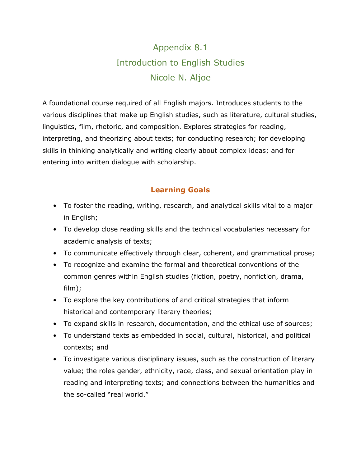# Appendix 8.1 Introduction to English Studies Nicole N. Aljoe

A foundational course required of all English majors. Introduces students to the various disciplines that make up English studies, such as literature, cultural studies, linguistics, film, rhetoric, and composition. Explores strategies for reading, interpreting, and theorizing about texts; for conducting research; for developing skills in thinking analytically and writing clearly about complex ideas; and for entering into written dialogue with scholarship.

# **Learning Goals**

- To foster the reading, writing, research, and analytical skills vital to a major in English;
- To develop close reading skills and the technical vocabularies necessary for academic analysis of texts;
- To communicate effectively through clear, coherent, and grammatical prose;
- To recognize and examine the formal and theoretical conventions of the common genres within English studies (fiction, poetry, nonfiction, drama, film);
- To explore the key contributions of and critical strategies that inform historical and contemporary literary theories;
- To expand skills in research, documentation, and the ethical use of sources;
- To understand texts as embedded in social, cultural, historical, and political contexts; and
- To investigate various disciplinary issues, such as the construction of literary value; the roles gender, ethnicity, race, class, and sexual orientation play in reading and interpreting texts; and connections between the humanities and the so-called "real world."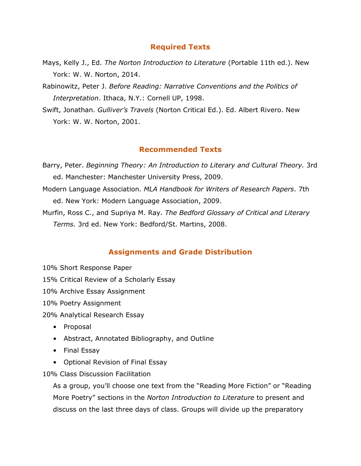# **Required Texts**

- Mays, Kelly J., Ed. *The Norton Introduction to Literature* (Portable 11th ed.). New York: W. W. Norton, 2014.
- Rabinowitz, Peter J. *Before Reading: Narrative Conventions and the Politics of Interpretation*. Ithaca, N.Y.: Cornell UP, 1998.
- Swift, Jonathan. *Gulliver's Travels* (Norton Critical Ed.). Ed. Albert Rivero. New York: W. W. Norton, 2001.

# **Recommended Texts**

- Barry, Peter. *Beginning Theory: An Introduction to Literary and Cultural Theory.* 3rd ed. Manchester: Manchester University Press, 2009.
- Modern Language Association. *MLA Handbook for Writers of Research Papers*. 7th ed. New York: Modern Language Association, 2009.
- Murfin, Ross C., and Supriya M. Ray. *The Bedford Glossary of Critical and Literary Terms.* 3rd ed. New York: Bedford/St. Martins, 2008.

# **Assignments and Grade Distribution**

- 10% Short Response Paper
- 15% Critical Review of a Scholarly Essay
- 10% Archive Essay Assignment
- 10% Poetry Assignment
- 20% Analytical Research Essay
	- Proposal
	- Abstract, Annotated Bibliography, and Outline
	- Final Essay
	- Optional Revision of Final Essay

10% Class Discussion Facilitation

As a group, you'll choose one text from the "Reading More Fiction" or "Reading More Poetry" sections in the *Norton Introduction to Literature* to present and discuss on the last three days of class. Groups will divide up the preparatory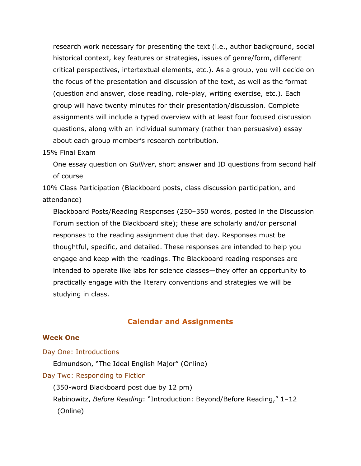research work necessary for presenting the text (i.e., author background, social historical context, key features or strategies, issues of genre/form, different critical perspectives, intertextual elements, etc.). As a group, you will decide on the focus of the presentation and discussion of the text, as well as the format (question and answer, close reading, role-play, writing exercise, etc.). Each group will have twenty minutes for their presentation/discussion. Complete assignments will include a typed overview with at least four focused discussion questions, along with an individual summary (rather than persuasive) essay about each group member's research contribution.

#### 15% Final Exam

One essay question on *Gulliver*, short answer and ID questions from second half of course

10% Class Participation (Blackboard posts, class discussion participation, and attendance)

Blackboard Posts/Reading Responses (250–350 words, posted in the Discussion Forum section of the Blackboard site); these are scholarly and/or personal responses to the reading assignment due that day. Responses must be thoughtful, specific, and detailed. These responses are intended to help you engage and keep with the readings. The Blackboard reading responses are intended to operate like labs for science classes—they offer an opportunity to practically engage with the literary conventions and strategies we will be studying in class.

#### **Calendar and Assignments**

#### **Week One**

Day One: Introductions Edmundson, "The Ideal English Major" (Online) Day Two: Responding to Fiction (350-word Blackboard post due by 12 pm) Rabinowitz, *Before Reading*: "Introduction: Beyond/Before Reading," 1–12 (Online)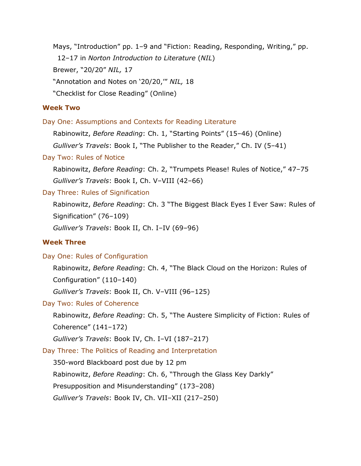Mays, "Introduction" pp. 1–9 and "Fiction: Reading, Responding, Writing," pp. 12–17 in *Norton Introduction to Literature* (*NIL*) Brewer, "20/20" *NIL,* 17 "Annotation and Notes on '20/20,'" *NIL,* 18 "Checklist for Close Reading" (Online)

## **Week Two**

Day One: Assumptions and Contexts for Reading Literature

Rabinowitz, *Before Reading*: Ch. 1, "Starting Points" (15–46) (Online)

*Gulliver's Travels*: Book I, "The Publisher to the Reader," Ch. IV (5–41)

#### Day Two: Rules of Notice

Rabinowitz, *Before Reading*: Ch. 2, "Trumpets Please! Rules of Notice," 47–75 *Gulliver's Travels*: Book I, Ch. V–VIII (42–66)

#### Day Three: Rules of Signification

Rabinowitz, *Before Reading*: Ch. 3 "The Biggest Black Eyes I Ever Saw: Rules of Signification" (76–109)

*Gulliver's Travels*: Book II, Ch. I–IV (69–96)

## **Week Three**

#### Day One: Rules of Configuration

Rabinowitz, *Before Reading*: Ch. 4, "The Black Cloud on the Horizon: Rules of Configuration" (110–140)

*Gulliver's Travels*: Book II, Ch. V–VIII (96–125)

#### Day Two: Rules of Coherence

Rabinowitz, *Before Reading*: Ch. 5, "The Austere Simplicity of Fiction: Rules of Coherence" (141–172)

*Gulliver's Travels*: Book IV, Ch. I–VI (187–217)

Day Three: The Politics of Reading and Interpretation

350-word Blackboard post due by 12 pm

Rabinowitz, *Before Reading*: Ch. 6, "Through the Glass Key Darkly"

Presupposition and Misunderstanding" (173–208)

*Gulliver's Travels*: Book IV, Ch. VII–XII (217–250)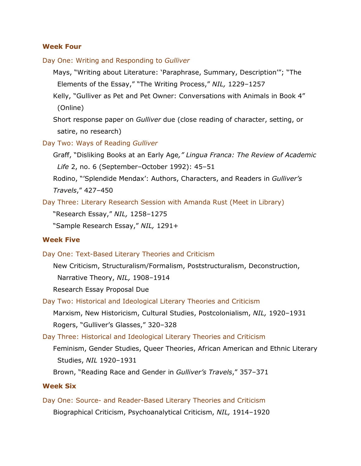#### **Week Four**

Day One: Writing and Responding to *Gulliver*

Mays, "Writing about Literature: 'Paraphrase, Summary, Description'"; "The Elements of the Essay," "The Writing Process," *NIL,* 1229–1257

Kelly, "Gulliver as Pet and Pet Owner: Conversations with Animals in Book 4" (Online)

Short response paper on *Gulliver* due (close reading of character, setting, or satire, no research)

Day Two: Ways of Reading *Gulliver*

Graff, "Disliking Books at an Early Age*," Lingua Franca: The Review of Academic Life* 2, no. 6 (September–October 1992): 45–51

Rodino, "'Splendide Mendax': Authors, Characters, and Readers in *Gulliver's Travels*," 427–450

Day Three: Literary Research Session with Amanda Rust (Meet in Library)

"Research Essay," *NIL,* 1258–1275

"Sample Research Essay," *NIL,* 1291+

### **Week Five**

Day One: Text-Based Literary Theories and Criticism

New Criticism, Structuralism/Formalism, Poststructuralism, Deconstruction, Narrative Theory, *NIL,* 1908–1914

Research Essay Proposal Due

Day Two: Historical and Ideological Literary Theories and Criticism Marxism, New Historicism, Cultural Studies, Postcolonialism, *NIL,* 1920–1931 Rogers, "Gulliver's Glasses," 320–328

Day Three: Historical and Ideological Literary Theories and Criticism

Feminism, Gender Studies, Queer Theories, African American and Ethnic Literary Studies, *NIL* 1920–1931

Brown, "Reading Race and Gender in *Gulliver's Travels*," 357–371

#### **Week Six**

Day One: Source- and Reader-Based Literary Theories and Criticism Biographical Criticism, Psychoanalytical Criticism, *NIL,* 1914–1920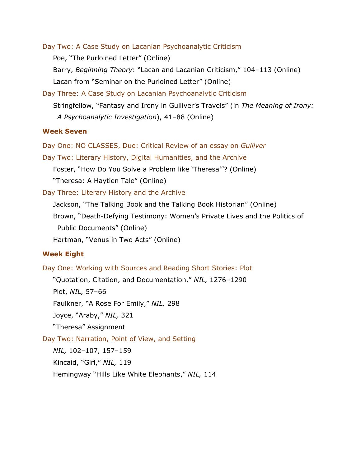Day Two: A Case Study on Lacanian Psychoanalytic Criticism

Poe, "The Purloined Letter" (Online)

Barry, *Beginning Theory*: "Lacan and Lacanian Criticism," 104–113 (Online) Lacan from "Seminar on the Purloined Letter" (Online)

Day Three: A Case Study on Lacanian Psychoanalytic Criticism Stringfellow, "Fantasy and Irony in Gulliver's Travels" (in *The Meaning of Irony: A Psychoanalytic Investigation*), 41–88 (Online)

#### **Week Seven**

Day One: NO CLASSES, Due: Critical Review of an essay on *Gulliver*

Day Two: Literary History, Digital Humanities, and the Archive

Foster, "How Do You Solve a Problem like 'Theresa'"? (Online)

"Theresa: A Haytien Tale" (Online)

Day Three: Literary History and the Archive

Jackson, "The Talking Book and the Talking Book Historian" (Online) Brown, "Death-Defying Testimony: Women's Private Lives and the Politics of

Public Documents" (Online)

Hartman, "Venus in Two Acts" (Online)

### **Week Eight**

Day One: Working with Sources and Reading Short Stories: Plot

"Quotation, Citation, and Documentation," *NIL,* 1276–1290

Plot, *NIL,* 57–66

Faulkner, "A Rose For Emily," *NIL,* 298

Joyce, "Araby," *NIL,* 321

"Theresa" Assignment

Day Two: Narration, Point of View, and Setting

*NIL,* 102–107, 157–159

Kincaid, "Girl," *NIL,* 119

Hemingway "Hills Like White Elephants," *NIL,* 114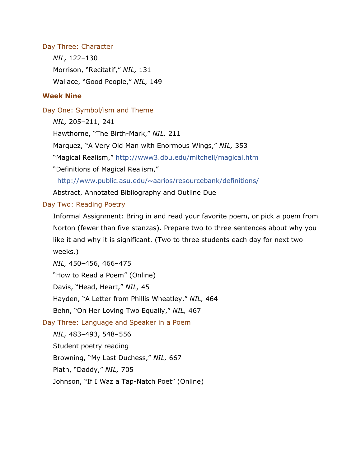## Day Three: Character

*NIL,* 122–130 Morrison, "Recitatif," *NIL,* 131 Wallace, "Good People," *NIL,* 149

## **Week Nine**

## Day One: Symbol/ism and Theme

*NIL,* 205–211, 241

Hawthorne, "The Birth-Mark," *NIL,* 211

Marquez, "A Very Old Man with Enormous Wings," *NIL,* 353

"Magical Realism,"<http://www3.dbu.edu/mitchell/magical.htm>

"Definitions of Magical Realism,"

[http://www.public.asu.edu/~aarios/resourcebank/definitions/](http://www.public.asu.edu/%7Eaarios/resourcebank/definitions/)

Abstract, Annotated Bibliography and Outline Due

## Day Two: Reading Poetry

Informal Assignment: Bring in and read your favorite poem, or pick a poem from Norton (fewer than five stanzas). Prepare two to three sentences about why you like it and why it is significant. (Two to three students each day for next two weeks.)

*NIL,* 450–456, 466–475

"How to Read a Poem" (Online)

Davis, "Head, Heart," *NIL,* 45

Hayden, "A Letter from Phillis Wheatley," *NIL,* 464

Behn, "On Her Loving Two Equally," *NIL,* 467

# Day Three: Language and Speaker in a Poem

*NIL,* 483–493, 548–556

Student poetry reading

Browning, "My Last Duchess," *NIL,* 667

Plath, "Daddy," *NIL,* 705

Johnson, "If I Waz a Tap-Natch Poet" (Online)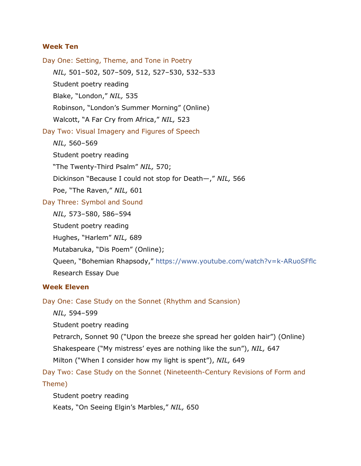### **Week Ten**

Day One: Setting, Theme, and Tone in Poetry *NIL,* 501–502, 507–509, 512, 527–530, 532–533 Student poetry reading Blake, "London," *NIL,* 535 Robinson, "London's Summer Morning" (Online) Walcott, "A Far Cry from Africa," *NIL,* 523 Day Two: Visual Imagery and Figures of Speech *NIL,* 560–569 Student poetry reading "The Twenty-Third Psalm" *NIL,* 570; Dickinson "Because I could not stop for Death—," *NIL,* 566 Poe, "The Raven," *NIL,* 601 Day Three: Symbol and Sound *NIL,* 573–580, 586–594 Student poetry reading Hughes, "Harlem" *NIL,* 689 Mutabaruka, "Dis Poem" (Online); Queen, "Bohemian Rhapsody,"<https://www.youtube.com/watch?v=k-ARuoSFflc> Research Essay Due

#### **Week Eleven**

Day One: Case Study on the Sonnet (Rhythm and Scansion)

*NIL,* 594–599

Student poetry reading

Petrarch, Sonnet 90 ("Upon the breeze she spread her golden hair") (Online)

Shakespeare ("My mistress' eyes are nothing like the sun"), *NIL,* 647

Milton ("When I consider how my light is spent"), *NIL,* 649

Day Two: Case Study on the Sonnet (Nineteenth-Century Revisions of Form and Theme)

Student poetry reading Keats, "On Seeing Elgin's Marbles," *NIL,* 650